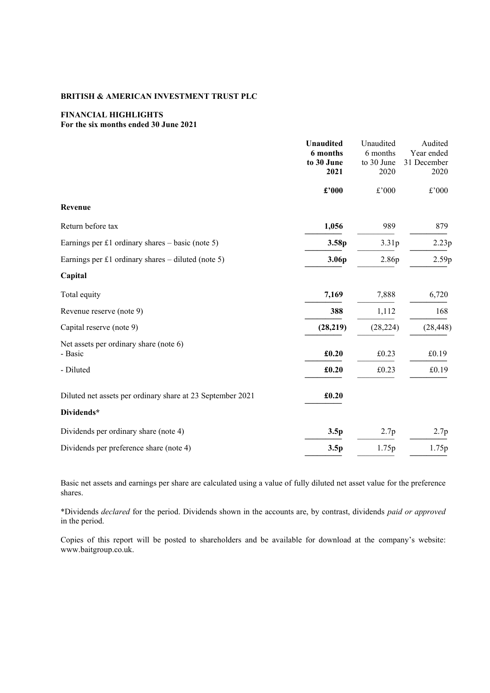# **BRITISH & AMERICAN INVESTMENT TRUST PLC**

# **FINANCIAL HIGHLIGHTS**

# **For the six months ended 30 June 2021**

|                                                            | <b>Unaudited</b><br>6 months<br>to 30 June<br>2021 | Unaudited<br>6 months<br>to 30 June<br>2020 | Audited<br>Year ended<br>31 December<br>2020 |
|------------------------------------------------------------|----------------------------------------------------|---------------------------------------------|----------------------------------------------|
|                                                            | £'000                                              | $\pounds$ '000                              | $\pounds$ '000                               |
| Revenue                                                    |                                                    |                                             |                                              |
| Return before tax                                          | 1,056                                              | 989                                         | 879                                          |
| Earnings per £1 ordinary shares $-$ basic (note 5)         | 3.58p                                              | 3.31p                                       | 2.23p                                        |
| Earnings per £1 ordinary shares $-$ diluted (note 5)       | 3.06p                                              | 2.86p                                       | 2.59p                                        |
| Capital                                                    |                                                    |                                             |                                              |
| Total equity                                               | 7,169                                              | 7,888                                       | 6,720                                        |
| Revenue reserve (note 9)                                   | 388                                                | 1,112                                       | 168                                          |
| Capital reserve (note 9)                                   | (28, 219)                                          | (28, 224)                                   | (28, 448)                                    |
| Net assets per ordinary share (note 6)<br>- Basic          | £0.20                                              | £0.23                                       | £0.19                                        |
| - Diluted                                                  | £0.20                                              | £0.23                                       | £0.19                                        |
| Diluted net assets per ordinary share at 23 September 2021 | £0.20                                              |                                             |                                              |
| Dividends*                                                 |                                                    |                                             |                                              |
| Dividends per ordinary share (note 4)                      | 3.5p                                               | 2.7p                                        | 2.7p                                         |
| Dividends per preference share (note 4)                    | 3.5p                                               | 1.75p                                       | 1.75p                                        |

Basic net assets and earnings per share are calculated using a value of fully diluted net asset value for the preference shares.

\*Dividends *declared* for the period. Dividends shown in the accounts are, by contrast, dividends *paid or approved* in the period.

Copies of this report will be posted to shareholders and be available for download at the company's website: www.baitgroup.co.uk.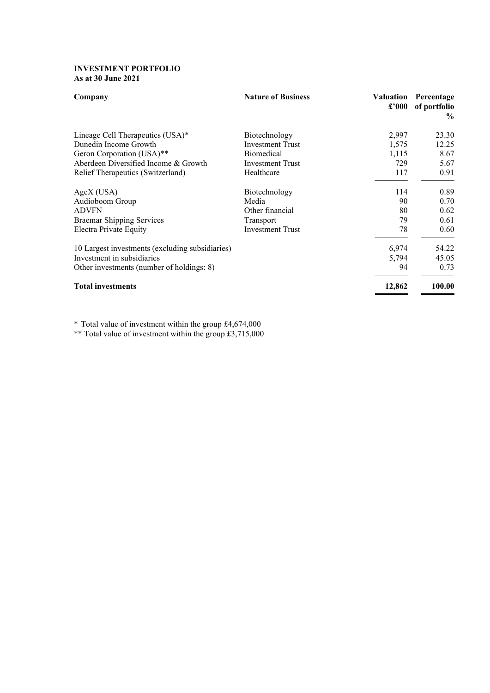# **INVESTMENT PORTFOLIO As at 30 June 2021**

| Company                                         | <b>Nature of Business</b> | Valuation<br>$\pmb{\pounds}^{\,\prime}000$ | Percentage<br>of portfolio<br>$\frac{6}{9}$ |
|-------------------------------------------------|---------------------------|--------------------------------------------|---------------------------------------------|
| Lineage Cell Therapeutics (USA)*                | Biotechnology             | 2,997                                      | 23.30                                       |
| Dunedin Income Growth                           | <b>Investment Trust</b>   | 1,575                                      | 12.25                                       |
| Geron Corporation (USA)**                       | <b>Biomedical</b>         | 1,115                                      | 8.67                                        |
| Aberdeen Diversified Income & Growth            | <b>Investment Trust</b>   | 729                                        | 5.67                                        |
| Relief Therapeutics (Switzerland)               | Healthcare                | 117                                        | 0.91                                        |
| AgeX (USA)                                      | Biotechnology             | 114                                        | 0.89                                        |
| Audioboom Group                                 | Media                     | 90                                         | 0.70                                        |
| <b>ADVFN</b>                                    | Other financial           | 80                                         | 0.62                                        |
| <b>Braemar Shipping Services</b>                | Transport                 | 79                                         | 0.61                                        |
| Electra Private Equity                          | <b>Investment Trust</b>   | 78                                         | 0.60                                        |
| 10 Largest investments (excluding subsidiaries) |                           | 6,974                                      | 54.22                                       |
| Investment in subsidiaries                      |                           | 5,794                                      | 45.05                                       |
| Other investments (number of holdings: 8)       |                           | 94                                         | 0.73                                        |
| <b>Total investments</b>                        |                           | 12,862                                     | 100.00                                      |

\* Total value of investment within the group £4,674,000

\*\* Total value of investment within the group £3,715,000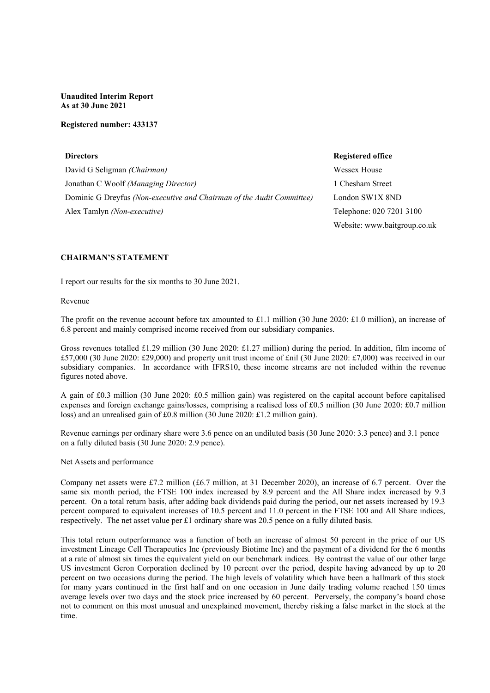**Unaudited Interim Report As at 30 June 2021**

#### **Registered number: 433137**

| <b>Directors</b>                                                      | <b>Registered office</b>     |
|-----------------------------------------------------------------------|------------------------------|
| David G Seligman <i>(Chairman)</i>                                    | Wessex House                 |
| Jonathan C Woolf <i>(Managing Director)</i>                           | 1 Chesham Street             |
| Dominic G Dreyfus (Non-executive and Chairman of the Audit Committee) | London SW1X 8ND              |
| Alex Tamlyn <i>(Non-executive)</i>                                    | Telephone: 020 7201 3100     |
|                                                                       | Website: www.baitgroup.co.uk |

# **CHAIRMAN'S STATEMENT**

I report our results for the six months to 30 June 2021.

Revenue

The profit on the revenue account before tax amounted to £1.1 million (30 June 2020: £1.0 million), an increase of 6.8 percent and mainly comprised income received from our subsidiary companies.

Gross revenues totalled £1.29 million (30 June 2020: £1.27 million) during the period. In addition, film income of £57,000 (30 June 2020: £29,000) and property unit trust income of £nil (30 June 2020: £7,000) was received in our subsidiary companies. In accordance with IFRS10, these income streams are not included within the revenue figures noted above.

A gain of £0.3 million (30 June 2020: £0.5 million gain) was registered on the capital account before capitalised expenses and foreign exchange gains/losses, comprising a realised loss of £0.5 million (30 June 2020: £0.7 million loss) and an unrealised gain of £0.8 million (30 June 2020: £1.2 million gain).

Revenue earnings per ordinary share were 3.6 pence on an undiluted basis (30 June 2020: 3.3 pence) and 3.1 pence on a fully diluted basis (30 June 2020: 2.9 pence).

Net Assets and performance

Company net assets were £7.2 million (£6.7 million, at 31 December 2020), an increase of 6.7 percent. Over the same six month period, the FTSE 100 index increased by 8.9 percent and the All Share index increased by 9.3 percent. On a total return basis, after adding back dividends paid during the period, our net assets increased by 19.3 percent compared to equivalent increases of 10.5 percent and 11.0 percent in the FTSE 100 and All Share indices, respectively. The net asset value per  $\pounds1$  ordinary share was 20.5 pence on a fully diluted basis.

This total return outperformance was a function of both an increase of almost 50 percent in the price of our US investment Lineage Cell Therapeutics Inc (previously Biotime Inc) and the payment of a dividend for the 6 months at a rate of almost six times the equivalent yield on our benchmark indices. By contrast the value of our other large US investment Geron Corporation declined by 10 percent over the period, despite having advanced by up to 20 percent on two occasions during the period. The high levels of volatility which have been a hallmark of this stock for many years continued in the first half and on one occasion in June daily trading volume reached 150 times average levels over two days and the stock price increased by 60 percent. Perversely, the company's board chose not to comment on this most unusual and unexplained movement, thereby risking a false market in the stock at the time.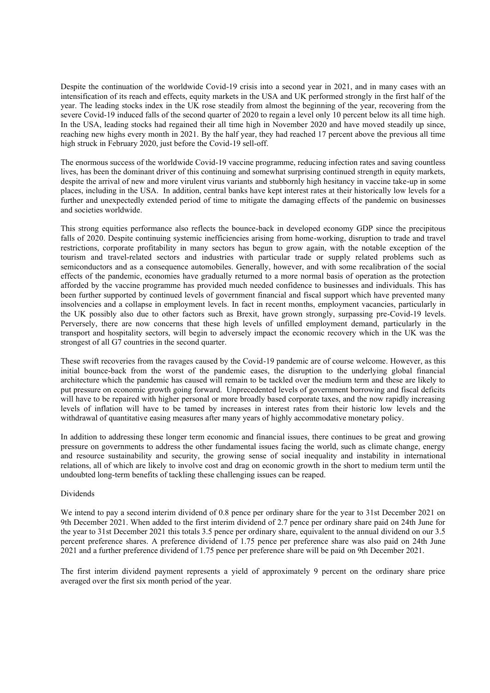Despite the continuation of the worldwide Covid-19 crisis into a second year in 2021, and in many cases with an intensification of its reach and effects, equity markets in the USA and UK performed strongly in the first half of the year. The leading stocks index in the UK rose steadily from almost the beginning of the year, recovering from the severe Covid-19 induced falls of the second quarter of 2020 to regain a level only 10 percent below its all time high. In the USA, leading stocks had regained their all time high in November 2020 and have moved steadily up since, reaching new highs every month in 2021. By the half year, they had reached 17 percent above the previous all time high struck in February 2020, just before the Covid-19 sell-off.

The enormous success of the worldwide Covid-19 vaccine programme, reducing infection rates and saving countless lives, has been the dominant driver of this continuing and somewhat surprising continued strength in equity markets, despite the arrival of new and more virulent virus variants and stubbornly high hesitancy in vaccine take-up in some places, including in the USA. In addition, central banks have kept interest rates at their historically low levels for a further and unexpectedly extended period of time to mitigate the damaging effects of the pandemic on businesses and societies worldwide.

This strong equities performance also reflects the bounce-back in developed economy GDP since the precipitous falls of 2020. Despite continuing systemic inefficiencies arising from home-working, disruption to trade and travel restrictions, corporate profitability in many sectors has begun to grow again, with the notable exception of the tourism and travel-related sectors and industries with particular trade or supply related problems such as semiconductors and as a consequence automobiles. Generally, however, and with some recalibration of the social effects of the pandemic, economies have gradually returned to a more normal basis of operation as the protection afforded by the vaccine programme has provided much needed confidence to businesses and individuals. This has been further supported by continued levels of government financial and fiscal support which have prevented many insolvencies and a collapse in employment levels. In fact in recent months, employment vacancies, particularly in the UK possibly also due to other factors such as Brexit, have grown strongly, surpassing pre-Covid-19 levels. Perversely, there are now concerns that these high levels of unfilled employment demand, particularly in the transport and hospitality sectors, will begin to adversely impact the economic recovery which in the UK was the strongest of all G7 countries in the second quarter.

These swift recoveries from the ravages caused by the Covid-19 pandemic are of course welcome. However, as this initial bounce-back from the worst of the pandemic eases, the disruption to the underlying global financial architecture which the pandemic has caused will remain to be tackled over the medium term and these are likely to put pressure on economic growth going forward. Unprecedented levels of government borrowing and fiscal deficits will have to be repaired with higher personal or more broadly based corporate taxes, and the now rapidly increasing levels of inflation will have to be tamed by increases in interest rates from their historic low levels and the withdrawal of quantitative easing measures after many years of highly accommodative monetary policy.

In addition to addressing these longer term economic and financial issues, there continues to be great and growing pressure on governments to address the other fundamental issues facing the world, such as climate change, energy and resource sustainability and security, the growing sense of social inequality and instability in international relations, all of which are likely to involve cost and drag on economic growth in the short to medium term until the undoubted long-term benefits of tackling these challenging issues can be reaped.

### Dividends

We intend to pay a second interim dividend of 0.8 pence per ordinary share for the year to 31st December 2021 on 9th December 2021. When added to the first interim dividend of 2.7 pence per ordinary share paid on 24th June for the year to 31st December 2021 this totals 3.5 pence per ordinary share, equivalent to the annual dividend on our 3.5 percent preference shares. A preference dividend of 1.75 pence per preference share was also paid on 24th June 2021 and a further preference dividend of 1.75 pence per preference share will be paid on 9th December 2021.

The first interim dividend payment represents a yield of approximately 9 percent on the ordinary share price averaged over the first six month period of the year.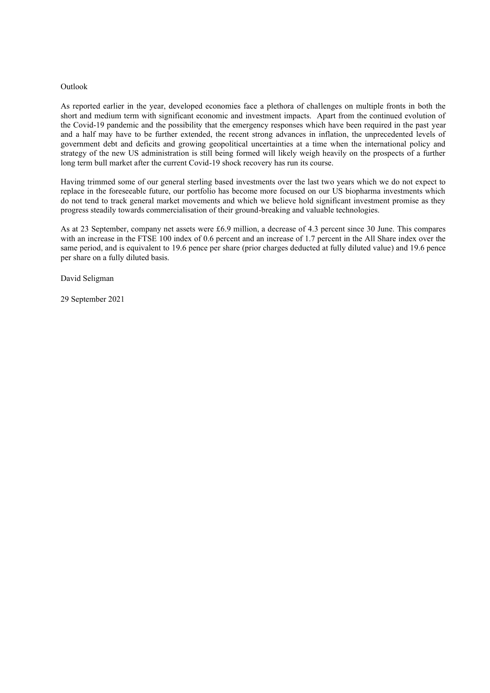#### Outlook

As reported earlier in the year, developed economies face a plethora of challenges on multiple fronts in both the short and medium term with significant economic and investment impacts. Apart from the continued evolution of the Covid-19 pandemic and the possibility that the emergency responses which have been required in the past year and a half may have to be further extended, the recent strong advances in inflation, the unprecedented levels of government debt and deficits and growing geopolitical uncertainties at a time when the international policy and strategy of the new US administration is still being formed will likely weigh heavily on the prospects of a further long term bull market after the current Covid-19 shock recovery has run its course.

Having trimmed some of our general sterling based investments over the last two years which we do not expect to replace in the foreseeable future, our portfolio has become more focused on our US biopharma investments which do not tend to track general market movements and which we believe hold significant investment promise as they progress steadily towards commercialisation of their ground-breaking and valuable technologies.

As at 23 September, company net assets were £6.9 million, a decrease of 4.3 percent since 30 June. This compares with an increase in the FTSE 100 index of 0.6 percent and an increase of 1.7 percent in the All Share index over the same period, and is equivalent to 19.6 pence per share (prior charges deducted at fully diluted value) and 19.6 pence per share on a fully diluted basis.

David Seligman

29 September 2021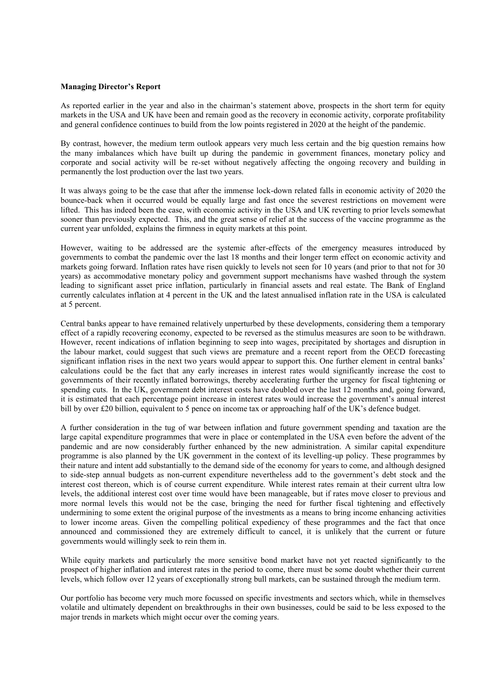### **Managing Director's Report**

As reported earlier in the year and also in the chairman's statement above, prospects in the short term for equity markets in the USA and UK have been and remain good as the recovery in economic activity, corporate profitability and general confidence continues to build from the low points registered in 2020 at the height of the pandemic.

By contrast, however, the medium term outlook appears very much less certain and the big question remains how the many imbalances which have built up during the pandemic in government finances, monetary policy and corporate and social activity will be re-set without negatively affecting the ongoing recovery and building in permanently the lost production over the last two years.

It was always going to be the case that after the immense lock-down related falls in economic activity of 2020 the bounce-back when it occurred would be equally large and fast once the severest restrictions on movement were lifted. This has indeed been the case, with economic activity in the USA and UK reverting to prior levels somewhat sooner than previously expected. This, and the great sense of relief at the success of the vaccine programme as the current year unfolded, explains the firmness in equity markets at this point.

However, waiting to be addressed are the systemic after-effects of the emergency measures introduced by governments to combat the pandemic over the last 18 months and their longer term effect on economic activity and markets going forward. Inflation rates have risen quickly to levels not seen for 10 years (and prior to that not for 30 years) as accommodative monetary policy and government support mechanisms have washed through the system leading to significant asset price inflation, particularly in financial assets and real estate. The Bank of England currently calculates inflation at 4 percent in the UK and the latest annualised inflation rate in the USA is calculated at 5 percent.

Central banks appear to have remained relatively unperturbed by these developments, considering them a temporary effect of a rapidly recovering economy, expected to be reversed as the stimulus measures are soon to be withdrawn. However, recent indications of inflation beginning to seep into wages, precipitated by shortages and disruption in the labour market, could suggest that such views are premature and a recent report from the OECD forecasting significant inflation rises in the next two years would appear to support this. One further element in central banks' calculations could be the fact that any early increases in interest rates would significantly increase the cost to governments of their recently inflated borrowings, thereby accelerating further the urgency for fiscal tightening or spending cuts. In the UK, government debt interest costs have doubled over the last 12 months and, going forward, it is estimated that each percentage point increase in interest rates would increase the government's annual interest bill by over £20 billion, equivalent to 5 pence on income tax or approaching half of the UK's defence budget.

A further consideration in the tug of war between inflation and future government spending and taxation are the large capital expenditure programmes that were in place or contemplated in the USA even before the advent of the pandemic and are now considerably further enhanced by the new administration. A similar capital expenditure programme is also planned by the UK government in the context of its levelling-up policy. These programmes by their nature and intent add substantially to the demand side of the economy for years to come, and although designed to side-step annual budgets as non-current expenditure nevertheless add to the government's debt stock and the interest cost thereon, which is of course current expenditure. While interest rates remain at their current ultra low levels, the additional interest cost over time would have been manageable, but if rates move closer to previous and more normal levels this would not be the case, bringing the need for further fiscal tightening and effectively undermining to some extent the original purpose of the investments as a means to bring income enhancing activities to lower income areas. Given the compelling political expediency of these programmes and the fact that once announced and commissioned they are extremely difficult to cancel, it is unlikely that the current or future governments would willingly seek to rein them in.

While equity markets and particularly the more sensitive bond market have not yet reacted significantly to the prospect of higher inflation and interest rates in the period to come, there must be some doubt whether their current levels, which follow over 12 years of exceptionally strong bull markets, can be sustained through the medium term.

Our portfolio has become very much more focussed on specific investments and sectors which, while in themselves volatile and ultimately dependent on breakthroughs in their own businesses, could be said to be less exposed to the major trends in markets which might occur over the coming years.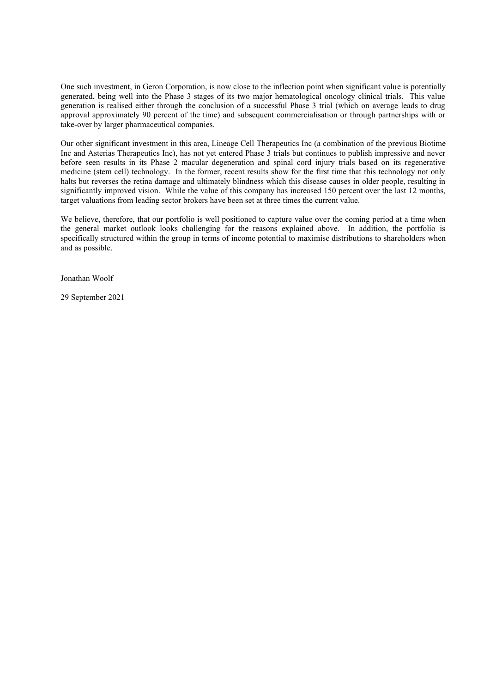One such investment, in Geron Corporation, is now close to the inflection point when significant value is potentially generated, being well into the Phase 3 stages of its two major hematological oncology clinical trials. This value generation is realised either through the conclusion of a successful Phase 3 trial (which on average leads to drug approval approximately 90 percent of the time) and subsequent commercialisation or through partnerships with or take-over by larger pharmaceutical companies.

Our other significant investment in this area, Lineage Cell Therapeutics Inc (a combination of the previous Biotime Inc and Asterias Therapeutics Inc), has not yet entered Phase 3 trials but continues to publish impressive and never before seen results in its Phase 2 macular degeneration and spinal cord injury trials based on its regenerative medicine (stem cell) technology. In the former, recent results show for the first time that this technology not only halts but reverses the retina damage and ultimately blindness which this disease causes in older people, resulting in significantly improved vision. While the value of this company has increased 150 percent over the last 12 months, target valuations from leading sector brokers have been set at three times the current value.

We believe, therefore, that our portfolio is well positioned to capture value over the coming period at a time when the general market outlook looks challenging for the reasons explained above. In addition, the portfolio is specifically structured within the group in terms of income potential to maximise distributions to shareholders when and as possible.

Jonathan Woolf

29 September 2021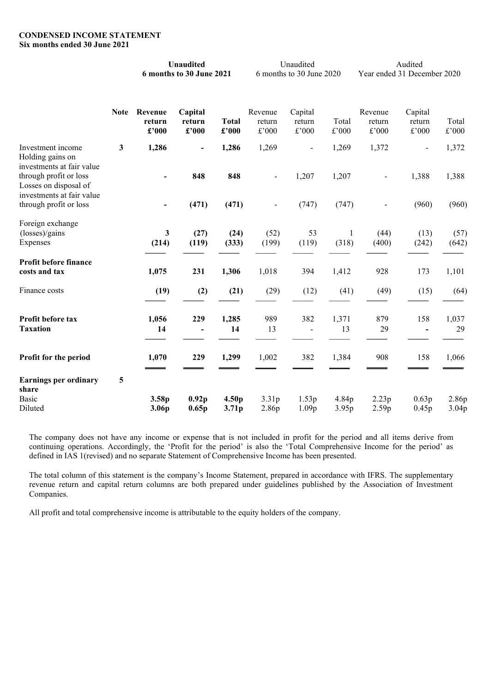## **CONDENSED INCOME STATEMENT Six months ended 30 June 2021**

|                                                                              | <b>Unaudited</b><br>Unaudited<br>6 months to 30 June 2021<br>6 months to 30 June 2020 |                            |                                 |                            | Audited<br>Year ended 31 December 2020 |                            |                       |                            |                            |                            |
|------------------------------------------------------------------------------|---------------------------------------------------------------------------------------|----------------------------|---------------------------------|----------------------------|----------------------------------------|----------------------------|-----------------------|----------------------------|----------------------------|----------------------------|
|                                                                              | <b>Note</b>                                                                           | Revenue<br>return<br>£'000 | Capital<br>return<br>£'000      | <b>Total</b><br>£'000      | Revenue<br>return<br>£'000             | Capital<br>return<br>£'000 | Total<br>£'000        | Revenue<br>return<br>£'000 | Capital<br>return<br>£'000 | Total<br>£'000             |
| Investment income<br>Holding gains on<br>investments at fair value           | 3                                                                                     | 1,286                      | $\overline{\phantom{0}}$        | 1,286                      | 1,269                                  |                            | 1,269                 | 1,372                      | $\blacksquare$             | 1,372                      |
| through profit or loss<br>Losses on disposal of<br>investments at fair value |                                                                                       |                            | 848                             | 848                        |                                        | 1,207                      | 1,207                 |                            | 1,388                      | 1,388                      |
| through profit or loss                                                       |                                                                                       |                            | (471)                           | (471)                      |                                        | (747)                      | (747)                 |                            | (960)                      | (960)                      |
| Foreign exchange<br>(losses)/gains<br>Expenses                               |                                                                                       | 3<br>(214)                 | (27)<br>(119)                   | (24)<br>(333)              | (52)<br>(199)                          | 53<br>(119)                | $\mathbf{1}$<br>(318) | (44)<br>(400)              | (13)<br>(242)              | (57)<br>(642)              |
| <b>Profit before finance</b><br>costs and tax                                |                                                                                       | 1,075                      | 231                             | 1,306                      | 1,018                                  | 394                        | 1,412                 | 928                        | 173                        | 1,101                      |
| Finance costs                                                                |                                                                                       | (19)                       | (2)                             | (21)                       | (29)                                   | (12)                       | (41)                  | (49)                       | (15)                       | (64)                       |
| Profit before tax<br><b>Taxation</b>                                         |                                                                                       | 1,056<br>14                | 229<br>$\overline{\phantom{a}}$ | 1,285<br>14                | 989<br>13                              | 382                        | 1,371<br>13           | 879<br>29                  | 158                        | 1,037<br>29                |
| Profit for the period                                                        |                                                                                       | 1,070                      | 229                             | 1,299                      | 1,002                                  | 382                        | 1,384                 | 908                        | 158                        | 1,066                      |
| <b>Earnings per ordinary</b><br>share                                        | 5                                                                                     |                            |                                 |                            |                                        |                            |                       |                            |                            |                            |
| Basic<br>Diluted                                                             |                                                                                       | 3.58p<br>3.06p             | 0.92p<br>0.65p                  | 4.50 <sub>p</sub><br>3.71p | 3.31p<br>2.86p                         | 1.53p<br>1.09 <sub>p</sub> | 4.84p<br>3.95p        | 2.23p<br>2.59p             | 0.63p<br>0.45p             | 2.86p<br>3.04 <sub>p</sub> |

The company does not have any income or expense that is not included in profit for the period and all items derive from continuing operations. Accordingly, the 'Profit for the period' is also the 'Total Comprehensive Income for the period' as defined in IAS 1(revised) and no separate Statement of Comprehensive Income has been presented.

The total column of this statement is the company's Income Statement, prepared in accordance with IFRS. The supplementary revenue return and capital return columns are both prepared under guidelines published by the Association of Investment Companies.

All profit and total comprehensive income is attributable to the equity holders of the company.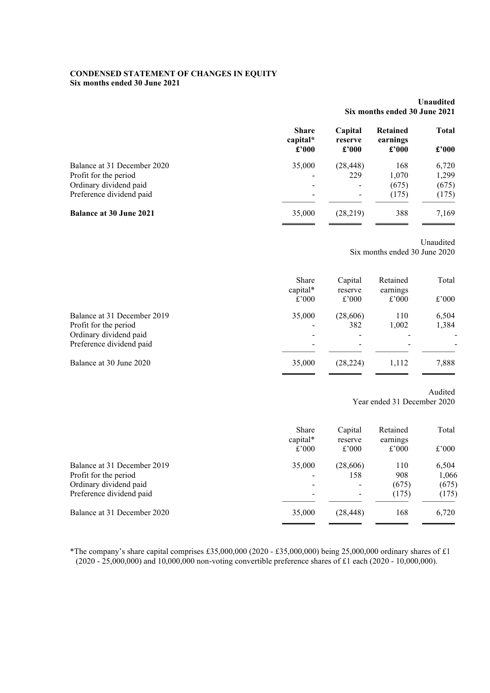### **CONDENSED STATEMENT OF CHANGES IN EQUITY Six months ended 30 June 2021**

### **Unaudited Six months ended 30 June 2021**

|                                | <b>Share</b><br>capital*<br>£'000 | Capital<br>reserve<br>£'000  | <b>Retained</b><br>earnings<br>£'000 | <b>Total</b><br>£'000 |
|--------------------------------|-----------------------------------|------------------------------|--------------------------------------|-----------------------|
| Balance at 31 December 2020    | 35,000                            | (28, 448)                    | 168                                  | 6,720                 |
| Profit for the period          |                                   | 229                          | 1,070                                | 1,299                 |
| Ordinary dividend paid         | -                                 | $\overline{\phantom{a}}$     | (675)                                | (675)                 |
| Preference dividend paid       | $\overline{\phantom{a}}$          | $\qquad \qquad \blacksquare$ | (175)                                | (175)                 |
| <b>Balance at 30 June 2021</b> | 35,000                            | (28,219)                     | 388                                  | 7,169                 |

### Unaudited Six months ended 30 June 2020

|                             | Share<br>capital*<br>£'000 | Capital<br>reserve<br>£'000 | Retained<br>earnings<br>£'000 | Total<br>£'000 |
|-----------------------------|----------------------------|-----------------------------|-------------------------------|----------------|
| Balance at 31 December 2019 | 35,000                     | (28,606)                    | 110                           | 6,504          |
| Profit for the period       |                            | 382                         | 1,002                         | 1,384          |
| Ordinary dividend paid      |                            | $\overline{\phantom{a}}$    |                               |                |
| Preference dividend paid    | ٠                          | $\overline{\phantom{a}}$    |                               |                |
| Balance at 30 June 2020     | 35,000                     | (28, 224)                   | 1,112                         | 7,888          |

### Audited Year ended 31 December 2020

|                             | Share<br>capital*<br>£'000 | Capital<br>reserve<br>£'000 | Retained<br>earnings<br>£'000 | Total<br>£'000 |
|-----------------------------|----------------------------|-----------------------------|-------------------------------|----------------|
| Balance at 31 December 2019 | 35,000                     | (28,606)                    | 110                           | 6,504          |
| Profit for the period       |                            | 158                         | 908                           | 1,066          |
| Ordinary dividend paid      |                            |                             | (675)                         | (675)          |
| Preference dividend paid    |                            |                             | (175)                         | (175)          |
| Balance at 31 December 2020 | 35,000                     | (28, 448)                   | 168                           | 6,720          |

\*The company's share capital comprises £35,000,000 (2020 - £35,000,000) being 25,000,000 ordinary shares of £1 (2020 - 25,000,000) and 10,000,000 non-voting convertible preference shares of £1 each (2020 - 10,000,000).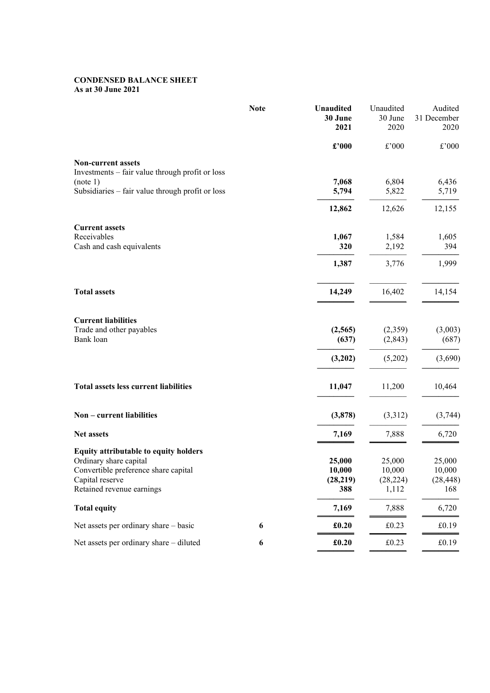# **CONDENSED BALANCE SHEET As at 30 June 2021**

|                                                                        | <b>Note</b> | <b>Unaudited</b> | Unaudited      | Audited     |
|------------------------------------------------------------------------|-------------|------------------|----------------|-------------|
|                                                                        |             | 30 June          | 30 June        | 31 December |
|                                                                        |             | 2021             | 2020           | 2020        |
|                                                                        |             | £'000            | £'000          | £'000       |
| <b>Non-current assets</b>                                              |             |                  |                |             |
| Investments – fair value through profit or loss                        |             |                  |                |             |
| (note 1)                                                               |             | 7,068<br>5,794   | 6,804<br>5,822 | 6,436       |
| Subsidiaries – fair value through profit or loss                       |             |                  |                | 5,719       |
|                                                                        |             | 12,862           | 12,626         | 12,155      |
| <b>Current assets</b>                                                  |             |                  |                |             |
| Receivables                                                            |             | 1,067            | 1,584          | 1,605       |
| Cash and cash equivalents                                              |             | 320              | 2,192          | 394         |
|                                                                        |             | 1,387            | 3,776          | 1,999       |
| <b>Total assets</b>                                                    |             | 14,249           | 16,402         | 14,154      |
|                                                                        |             |                  |                |             |
| <b>Current liabilities</b>                                             |             |                  |                |             |
| Trade and other payables                                               |             | (2, 565)         | (2,359)        | (3,003)     |
| Bank loan                                                              |             | (637)            | (2, 843)       | (687)       |
|                                                                        |             | (3,202)          | (5,202)        | (3,690)     |
| <b>Total assets less current liabilities</b>                           |             | 11,047           | 11,200         | 10,464      |
| Non - current liabilities                                              |             | (3,878)          | (3,312)        | (3,744)     |
| <b>Net assets</b>                                                      |             | 7,169            | 7,888          | 6,720       |
|                                                                        |             |                  |                |             |
| <b>Equity attributable to equity holders</b><br>Ordinary share capital |             | 25,000           | 25,000         | 25,000      |
| Convertible preference share capital                                   |             | 10,000           | 10,000         | 10,000      |
| Capital reserve                                                        |             | (28, 219)        | (28, 224)      | (28, 448)   |
| Retained revenue earnings                                              |             | 388              | 1,112          | 168         |
| <b>Total equity</b>                                                    |             | 7,169            | 7,888          | 6,720       |
| Net assets per ordinary share - basic                                  | 6           | £0.20            | £0.23          | £0.19       |
| Net assets per ordinary share - diluted                                | 6           | £0.20            | $\pounds0.23$  | £0.19       |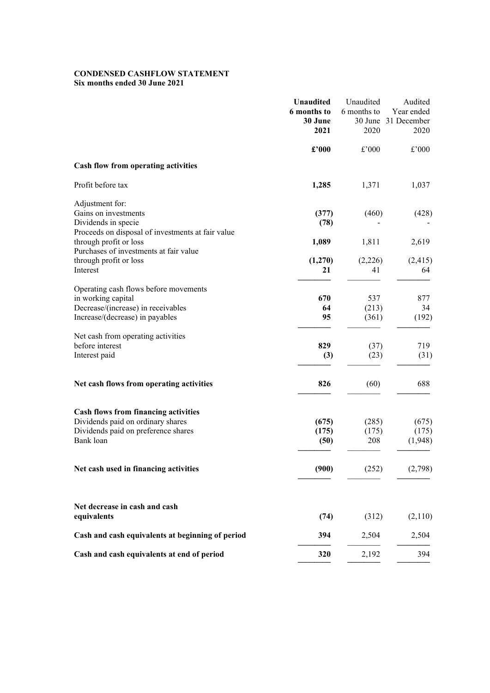# **CONDENSED CASHFLOW STATEMENT Six months ended 30 June 2021**

|                                                                                                                                      | <b>Unaudited</b><br>6 months to<br>30 June<br>2021 | Unaudited<br>6 months to<br>2020 | Audited<br>Year ended<br>30 June 31 December<br>2020 |
|--------------------------------------------------------------------------------------------------------------------------------------|----------------------------------------------------|----------------------------------|------------------------------------------------------|
|                                                                                                                                      | $\pounds$ '000                                     | £'000                            | £'000                                                |
| Cash flow from operating activities                                                                                                  |                                                    |                                  |                                                      |
| Profit before tax                                                                                                                    | 1,285                                              | 1,371                            | 1,037                                                |
| Adjustment for:<br>Gains on investments<br>Dividends in specie<br>Proceeds on disposal of investments at fair value                  | (377)<br>(78)                                      | (460)                            | (428)                                                |
| through profit or loss                                                                                                               | 1,089                                              | 1,811                            | 2,619                                                |
| Purchases of investments at fair value<br>through profit or loss<br>Interest                                                         | (1,270)<br>21                                      | (2,226)<br>41                    | (2, 415)<br>64                                       |
| Operating cash flows before movements<br>in working capital<br>Decrease/(increase) in receivables<br>Increase/(decrease) in payables | 670<br>64<br>95                                    | 537<br>(213)<br>(361)            | 877<br>34<br>(192)                                   |
| Net cash from operating activities<br>before interest<br>Interest paid                                                               | 829<br>(3)                                         | (37)<br>(23)                     | 719<br>(31)                                          |
| Net cash flows from operating activities                                                                                             | 826                                                | (60)                             | 688                                                  |
| <b>Cash flows from financing activities</b><br>Dividends paid on ordinary shares<br>Dividends paid on preference shares<br>Bank loan | (675)<br>(175)<br>(50)                             | (285)<br>(175)<br>208            | (675)<br>(175)<br>(1,948)                            |
| Net cash used in financing activities                                                                                                | (900)                                              | (252)                            | (2,798)                                              |
| Net decrease in cash and cash<br>equivalents                                                                                         | (74)                                               | (312)                            | (2,110)                                              |
| Cash and cash equivalents at beginning of period                                                                                     | 394                                                | 2,504                            | 2,504                                                |
| Cash and cash equivalents at end of period                                                                                           | 320                                                | 2,192                            | 394                                                  |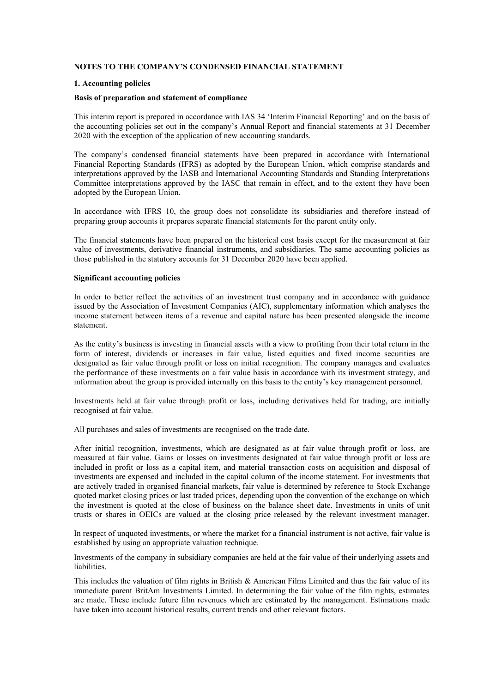### **NOTES TO THE COMPANY'S CONDENSED FINANCIAL STATEMENT**

### **1. Accounting policies**

### **Basis of preparation and statement of compliance**

This interim report is prepared in accordance with IAS 34 'Interim Financial Reporting' and on the basis of the accounting policies set out in the company's Annual Report and financial statements at 31 December 2020 with the exception of the application of new accounting standards.

The company's condensed financial statements have been prepared in accordance with International Financial Reporting Standards (IFRS) as adopted by the European Union, which comprise standards and interpretations approved by the IASB and International Accounting Standards and Standing Interpretations Committee interpretations approved by the IASC that remain in effect, and to the extent they have been adopted by the European Union.

In accordance with IFRS 10, the group does not consolidate its subsidiaries and therefore instead of preparing group accounts it prepares separate financial statements for the parent entity only.

The financial statements have been prepared on the historical cost basis except for the measurement at fair value of investments, derivative financial instruments, and subsidiaries. The same accounting policies as those published in the statutory accounts for 31 December 2020 have been applied.

### **Significant accounting policies**

In order to better reflect the activities of an investment trust company and in accordance with guidance issued by the Association of Investment Companies (AIC), supplementary information which analyses the income statement between items of a revenue and capital nature has been presented alongside the income statement.

As the entity's business is investing in financial assets with a view to profiting from their total return in the form of interest, dividends or increases in fair value, listed equities and fixed income securities are designated as fair value through profit or loss on initial recognition. The company manages and evaluates the performance of these investments on a fair value basis in accordance with its investment strategy, and information about the group is provided internally on this basis to the entity's key management personnel.

Investments held at fair value through profit or loss, including derivatives held for trading, are initially recognised at fair value.

All purchases and sales of investments are recognised on the trade date.

After initial recognition, investments, which are designated as at fair value through profit or loss, are measured at fair value. Gains or losses on investments designated at fair value through profit or loss are included in profit or loss as a capital item, and material transaction costs on acquisition and disposal of investments are expensed and included in the capital column of the income statement. For investments that are actively traded in organised financial markets, fair value is determined by reference to Stock Exchange quoted market closing prices or last traded prices, depending upon the convention of the exchange on which the investment is quoted at the close of business on the balance sheet date. Investments in units of unit trusts or shares in OEICs are valued at the closing price released by the relevant investment manager.

In respect of unquoted investments, or where the market for a financial instrument is not active, fair value is established by using an appropriate valuation technique.

Investments of the company in subsidiary companies are held at the fair value of their underlying assets and liabilities.

This includes the valuation of film rights in British & American Films Limited and thus the fair value of its immediate parent BritAm Investments Limited. In determining the fair value of the film rights, estimates are made. These include future film revenues which are estimated by the management. Estimations made have taken into account historical results, current trends and other relevant factors.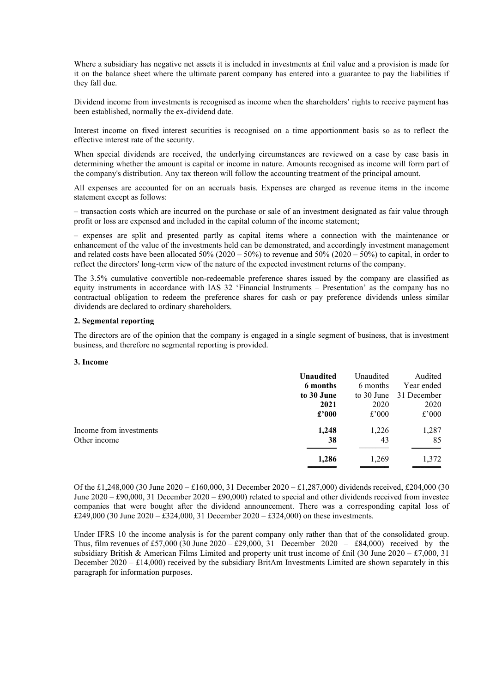Where a subsidiary has negative net assets it is included in investments at £nil value and a provision is made for it on the balance sheet where the ultimate parent company has entered into a guarantee to pay the liabilities if they fall due.

Dividend income from investments is recognised as income when the shareholders' rights to receive payment has been established, normally the ex-dividend date.

Interest income on fixed interest securities is recognised on a time apportionment basis so as to reflect the effective interest rate of the security.

When special dividends are received, the underlying circumstances are reviewed on a case by case basis in determining whether the amount is capital or income in nature. Amounts recognised as income will form part of the company's distribution. Any tax thereon will follow the accounting treatment of the principal amount.

All expenses are accounted for on an accruals basis. Expenses are charged as revenue items in the income statement except as follows:

– transaction costs which are incurred on the purchase or sale of an investment designated as fair value through profit or loss are expensed and included in the capital column of the income statement;

– expenses are split and presented partly as capital items where a connection with the maintenance or enhancement of the value of the investments held can be demonstrated, and accordingly investment management and related costs have been allocated  $50\%$  ( $2020 - 50\%$ ) to revenue and  $50\%$  ( $2020 - 50\%$ ) to capital, in order to reflect the directors' long-term view of the nature of the expected investment returns of the company.

The 3.5% cumulative convertible non-redeemable preference shares issued by the company are classified as equity instruments in accordance with IAS 32 'Financial Instruments – Presentation' as the company has no contractual obligation to redeem the preference shares for cash or pay preference dividends unless similar dividends are declared to ordinary shareholders.

# **2. Segmental reporting**

The directors are of the opinion that the company is engaged in a single segment of business, that is investment business, and therefore no segmental reporting is provided.

#### **3. Income**

|                         | <b>Unaudited</b> | Unaudited  | Audited     |
|-------------------------|------------------|------------|-------------|
|                         | 6 months         | 6 months   | Year ended  |
|                         | to 30 June       | to 30 June | 31 December |
|                         | 2021             | 2020       | 2020        |
|                         | $\pounds$ '000   | £'000      | £'000       |
| Income from investments | 1,248            | 1,226      | 1,287       |
| Other income            | 38               | 43         | 85          |
|                         | 1,286            | 1,269      | 1,372       |
|                         |                  |            |             |

Of the £1,248,000 (30 June 2020 – £160,000, 31 December 2020 – £1,287,000) dividends received, £204,000 (30 June 2020 – £90,000, 31 December 2020 – £90,000) related to special and other dividends received from investee companies that were bought after the dividend announcement. There was a corresponding capital loss of £249,000 (30 June 2020 – £324,000, 31 December 2020 – £324,000) on these investments.

Under IFRS 10 the income analysis is for the parent company only rather than that of the consolidated group. Thus, film revenues of £57,000 (30 June  $2020 - 29,000, 31$  December 2020 – £84,000) received by the subsidiary British & American Films Limited and property unit trust income of £nil (30 June 2020 – £7,000, 31 December 2020 – £14,000) received by the subsidiary BritAm Investments Limited are shown separately in this paragraph for information purposes.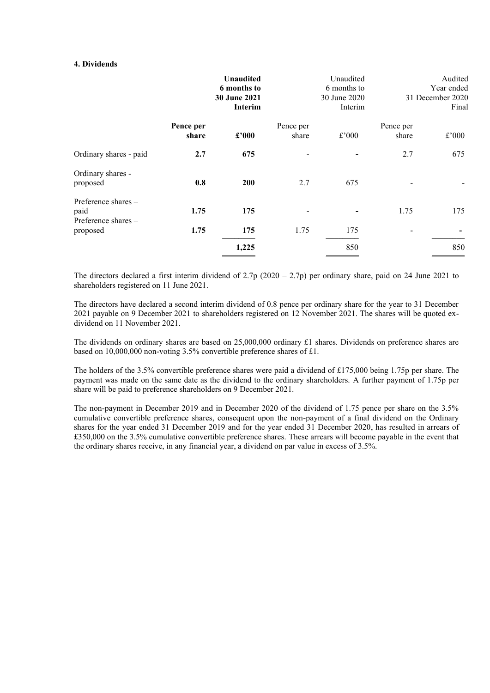### **4. Dividends**

| Audited<br>Year ended<br>31 December 2020<br>Final |       |
|----------------------------------------------------|-------|
| Pence per<br>share                                 | £'000 |
| 2.7                                                | 675   |
|                                                    |       |
| 1.75                                               | 175   |
|                                                    |       |
|                                                    | 850   |
|                                                    |       |

The directors declared a first interim dividend of 2.7p (2020 – 2.7p) per ordinary share, paid on 24 June 2021 to shareholders registered on 11 June 2021.

The directors have declared a second interim dividend of 0.8 pence per ordinary share for the year to 31 December 2021 payable on 9 December 2021 to shareholders registered on 12 November 2021. The shares will be quoted exdividend on 11 November 2021.

The dividends on ordinary shares are based on 25,000,000 ordinary £1 shares. Dividends on preference shares are based on 10,000,000 non-voting 3.5% convertible preference shares of £1.

The holders of the 3.5% convertible preference shares were paid a dividend of £175,000 being 1.75p per share. The payment was made on the same date as the dividend to the ordinary shareholders. A further payment of 1.75p per share will be paid to preference shareholders on 9 December 2021.

The non-payment in December 2019 and in December 2020 of the dividend of 1.75 pence per share on the 3.5% cumulative convertible preference shares, consequent upon the non-payment of a final dividend on the Ordinary shares for the year ended 31 December 2019 and for the year ended 31 December 2020, has resulted in arrears of £350,000 on the 3.5% cumulative convertible preference shares. These arrears will become payable in the event that the ordinary shares receive, in any financial year, a dividend on par value in excess of 3.5%.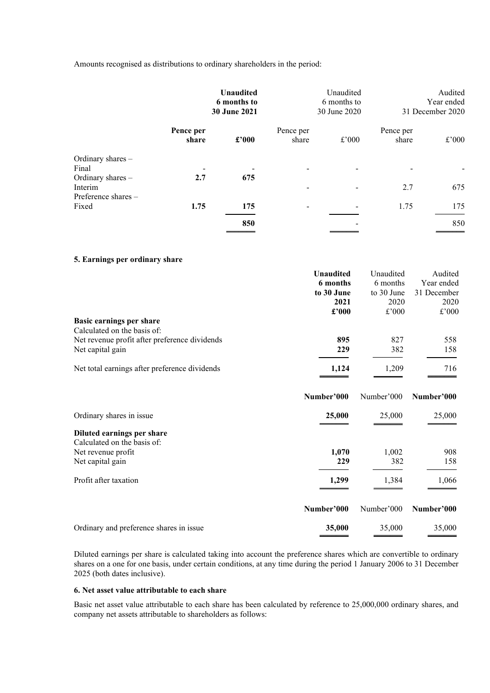Amounts recognised as distributions to ordinary shareholders in the period:

|                                                     |                    | <b>Unaudited</b><br>6 months to<br><b>30 June 2021</b> |                    | Unaudited<br>6 months to<br>30 June 2020 |                    | Audited<br>Year ended<br>31 December 2020 |
|-----------------------------------------------------|--------------------|--------------------------------------------------------|--------------------|------------------------------------------|--------------------|-------------------------------------------|
|                                                     | Pence per<br>share | $\pounds$ '000                                         | Pence per<br>share | £'000                                    | Pence per<br>share | £'000                                     |
| Ordinary shares -<br>Final                          |                    |                                                        |                    |                                          |                    |                                           |
| Ordinary shares -<br>Interim<br>Preference shares - | 2.7                | 675                                                    |                    |                                          | 2.7                | 675                                       |
| Fixed                                               | 1.75               | 175                                                    |                    |                                          | 1.75               | 175                                       |
|                                                     |                    | 850                                                    |                    |                                          |                    | 850                                       |

# **5. Earnings per ordinary share**

|                                                         | Unaudited  | Unaudited  | Audited     |
|---------------------------------------------------------|------------|------------|-------------|
|                                                         | 6 months   | 6 months   | Year ended  |
|                                                         | to 30 June | to 30 June | 31 December |
|                                                         | 2021       | 2020       | 2020        |
|                                                         | £'000      | £'000      | £'000       |
| Basic earnings per share<br>Calculated on the basis of: |            |            |             |
| Net revenue profit after preference dividends           | 895        | 827        | 558         |
| Net capital gain                                        | 229        | 382        | 158         |
| Net total earnings after preference dividends           | 1,124      | 1,209      | 716         |

|                                                           | Number'000 | Number'000 | Number'000 |
|-----------------------------------------------------------|------------|------------|------------|
| Ordinary shares in issue                                  | 25,000     | 25,000     | 25,000     |
| Diluted earnings per share<br>Calculated on the basis of: |            |            |            |
| Net revenue profit                                        | 1,070      | 1,002      | 908        |
| Net capital gain                                          | 229        | 382        | 158        |
| Profit after taxation                                     | 1,299      | 1,384      | 1,066      |
|                                                           | Number'000 | Number'000 | Number'000 |
| Ordinary and preference shares in issue                   | 35,000     | 35,000     | 35,000     |

Diluted earnings per share is calculated taking into account the preference shares which are convertible to ordinary shares on a one for one basis, under certain conditions, at any time during the period 1 January 2006 to 31 December 2025 (both dates inclusive).

# **6. Net asset value attributable to each share**

Basic net asset value attributable to each share has been calculated by reference to 25,000,000 ordinary shares, and company net assets attributable to shareholders as follows: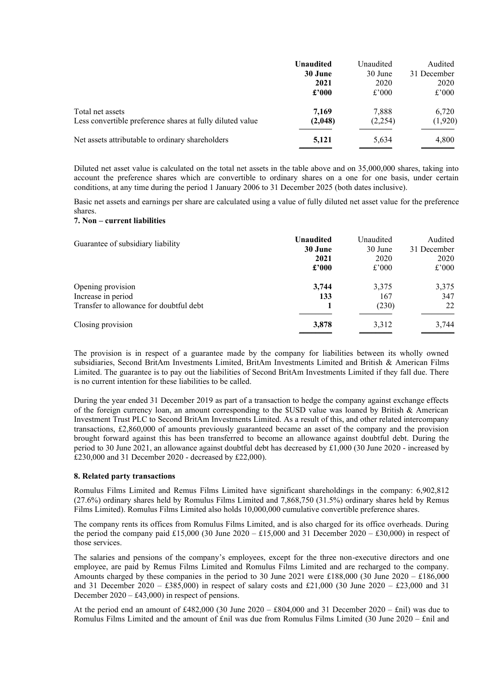|                                                           | <b>Unaudited</b> | Unaudited | Audited     |
|-----------------------------------------------------------|------------------|-----------|-------------|
|                                                           | 30 June          | 30 June   | 31 December |
|                                                           | 2021             | 2020      | 2020        |
|                                                           | £'000            | £'000     | £'000       |
| Total net assets                                          | 7,169            | 7,888     | 6,720       |
| Less convertible preference shares at fully diluted value | (2,048)          | (2,254)   | (1,920)     |
| Net assets attributable to ordinary shareholders          | 5,121            | 5,634     | 4,800       |
|                                                           |                  |           |             |

Diluted net asset value is calculated on the total net assets in the table above and on 35,000,000 shares, taking into account the preference shares which are convertible to ordinary shares on a one for one basis, under certain conditions, at any time during the period 1 January 2006 to 31 December 2025 (both dates inclusive).

Basic net assets and earnings per share are calculated using a value of fully diluted net asset value for the preference shares.

# **7. Non – current liabilities**

| Guarantee of subsidiary liability                                                  | <b>Unaudited</b><br>30 June<br>2021<br>£'000 | Unaudited<br>30 June<br>2020<br>£'000 | Audited<br>31 December<br>2020<br>£'000 |
|------------------------------------------------------------------------------------|----------------------------------------------|---------------------------------------|-----------------------------------------|
| Opening provision<br>Increase in period<br>Transfer to allowance for doubtful debt | 3,744<br>133                                 | 3,375<br>167<br>(230)                 | 3,375<br>347<br>22                      |
| Closing provision                                                                  | 3,878                                        | 3,312                                 | 3,744                                   |

The provision is in respect of a guarantee made by the company for liabilities between its wholly owned subsidiaries, Second BritAm Investments Limited, BritAm Investments Limited and British & American Films Limited. The guarantee is to pay out the liabilities of Second BritAm Investments Limited if they fall due. There is no current intention for these liabilities to be called.

During the year ended 31 December 2019 as part of a transaction to hedge the company against exchange effects of the foreign currency loan, an amount corresponding to the \$USD value was loaned by British & American Investment Trust PLC to Second BritAm Investments Limited. As a result of this, and other related intercompany transactions, £2,860,000 of amounts previously guaranteed became an asset of the company and the provision brought forward against this has been transferred to become an allowance against doubtful debt. During the period to 30 June 2021, an allowance against doubtful debt has decreased by £1,000 (30 June 2020 - increased by £230,000 and 31 December 2020 - decreased by £22,000).

# **8. Related party transactions**

Romulus Films Limited and Remus Films Limited have significant shareholdings in the company: 6,902,812 (27.6%) ordinary shares held by Romulus Films Limited and 7,868,750 (31.5%) ordinary shares held by Remus Films Limited). Romulus Films Limited also holds 10,000,000 cumulative convertible preference shares.

The company rents its offices from Romulus Films Limited, and is also charged for its office overheads. During the period the company paid £15,000 (30 June 2020 – £15,000 and 31 December 2020 – £30,000) in respect of those services.

The salaries and pensions of the company's employees, except for the three non-executive directors and one employee, are paid by Remus Films Limited and Romulus Films Limited and are recharged to the company. Amounts charged by these companies in the period to 30 June 2021 were £188,000 (30 June 2020 – £186,000 and 31 December 2020 – £385,000) in respect of salary costs and £21,000 (30 June 2020 – £23,000 and 31 December  $2020 - \text{\pounds}43,000$  in respect of pensions.

At the period end an amount of £482,000 (30 June  $2020 - £804,000$  and 31 December  $2020 -$  £nil) was due to Romulus Films Limited and the amount of £nil was due from Romulus Films Limited (30 June 2020 – £nil and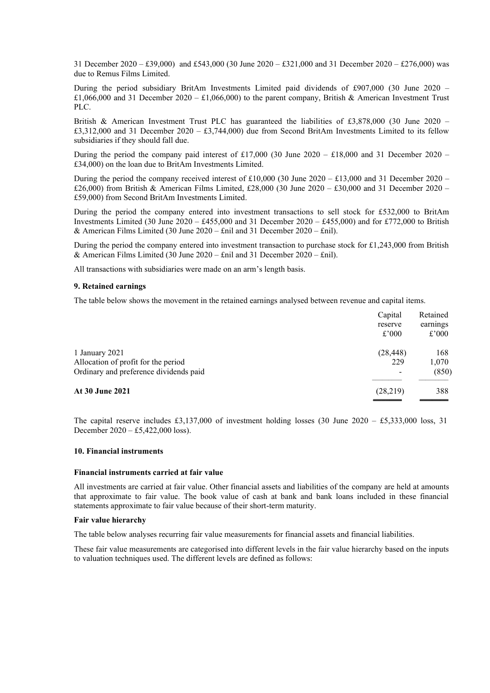31 December 2020 – £39,000) and £543,000 (30 June 2020 – £321,000 and 31 December 2020 – £276,000) was due to Remus Films Limited.

During the period subsidiary BritAm Investments Limited paid dividends of £907,000 (30 June 2020 – £1,066,000 and 31 December 2020 – £1,066,000) to the parent company, British & American Investment Trust PLC.

British & American Investment Trust PLC has guaranteed the liabilities of £3,878,000 (30 June 2020 – £3,312,000 and 31 December 2020 – £3,744,000) due from Second BritAm Investments Limited to its fellow subsidiaries if they should fall due.

During the period the company paid interest of £17,000 (30 June 2020 – £18,000 and 31 December 2020 – £34,000) on the loan due to BritAm Investments Limited.

During the period the company received interest of £10,000 (30 June 2020 – £13,000 and 31 December 2020 – £26,000) from British & American Films Limited, £28,000 (30 June 2020 – £30,000 and 31 December 2020 – £59,000) from Second BritAm Investments Limited.

During the period the company entered into investment transactions to sell stock for £532,000 to BritAm Investments Limited (30 June  $2020 - \text{\textsterling}455,000$  and 31 December  $2020 - \text{\textsterling}455,000$ ) and for £772,000 to British & American Films Limited (30 June 2020 – £nil and 31 December 2020 – £nil).

During the period the company entered into investment transaction to purchase stock for £1,243,000 from British & American Films Limited (30 June 2020 – £nil and 31 December 2020 – £nil).

All transactions with subsidiaries were made on an arm's length basis.

### **9. Retained earnings**

The table below shows the movement in the retained earnings analysed between revenue and capital items.

|                                        | Capital   | Retained |
|----------------------------------------|-----------|----------|
|                                        | reserve   | earnings |
|                                        | £'000     | £'000    |
| 1 January 2021                         | (28, 448) | 168      |
| Allocation of profit for the period    | 229       | 1,070    |
| Ordinary and preference dividends paid |           | (850)    |
| At 30 June 2021                        | (28,219)  | 388      |
|                                        |           |          |

The capital reserve includes £3,137,000 of investment holding losses (30 June 2020 – £5,333,000 loss, 31 December 2020 – £5,422,000 loss).

### **10. Financial instruments**

### **Financial instruments carried at fair value**

All investments are carried at fair value. Other financial assets and liabilities of the company are held at amounts that approximate to fair value. The book value of cash at bank and bank loans included in these financial statements approximate to fair value because of their short-term maturity.

### **Fair value hierarchy**

The table below analyses recurring fair value measurements for financial assets and financial liabilities.

These fair value measurements are categorised into different levels in the fair value hierarchy based on the inputs to valuation techniques used. The different levels are defined as follows: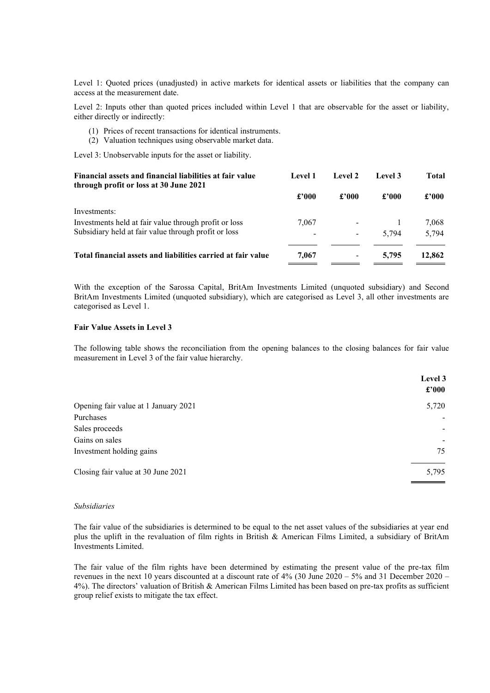Level 1: Quoted prices (unadjusted) in active markets for identical assets or liabilities that the company can access at the measurement date.

Level 2: Inputs other than quoted prices included within Level 1 that are observable for the asset or liability, either directly or indirectly:

- (1) Prices of recent transactions for identical instruments.
- (2) Valuation techniques using observable market data.

Level 3: Unobservable inputs for the asset or liability.

| Financial assets and financial liabilities at fair value<br>through profit or loss at 30 June 2021 | Level 1                  | <b>Level 2</b> | Level 3 | <b>Total</b>   |
|----------------------------------------------------------------------------------------------------|--------------------------|----------------|---------|----------------|
|                                                                                                    | £2000                    | £2000          | £2000   | $\pounds$ '000 |
| Investments:                                                                                       |                          |                |         |                |
| Investments held at fair value through profit or loss                                              | 7.067                    |                |         | 7,068          |
| Subsidiary held at fair value through profit or loss                                               | $\overline{\phantom{a}}$ |                | 5.794   | 5.794          |
| Total financial assets and liabilities carried at fair value                                       | 7,067                    |                | 5.795   | 12,862         |
|                                                                                                    |                          |                |         |                |

With the exception of the Sarossa Capital, BritAm Investments Limited (unquoted subsidiary) and Second BritAm Investments Limited (unquoted subsidiary), which are categorised as Level 3, all other investments are categorised as Level 1.

### **Fair Value Assets in Level 3**

The following table shows the reconciliation from the opening balances to the closing balances for fair value measurement in Level 3 of the fair value hierarchy.

|                                      | Level 3<br>$\pounds$ '000 |
|--------------------------------------|---------------------------|
| Opening fair value at 1 January 2021 | 5,720                     |
| Purchases                            |                           |
| Sales proceeds                       |                           |
| Gains on sales                       |                           |
| Investment holding gains             | 75                        |
| Closing fair value at 30 June 2021   | 5,795                     |
|                                      |                           |

### *Subsidiaries*

The fair value of the subsidiaries is determined to be equal to the net asset values of the subsidiaries at year end plus the uplift in the revaluation of film rights in British & American Films Limited, a subsidiary of BritAm Investments Limited.

The fair value of the film rights have been determined by estimating the present value of the pre-tax film revenues in the next 10 years discounted at a discount rate of 4% (30 June 2020 – 5% and 31 December 2020 –  $4\%$ ). The directors' valuation of British & American Films Limited has been based on pre-tax profits as sufficient group relief exists to mitigate the tax effect.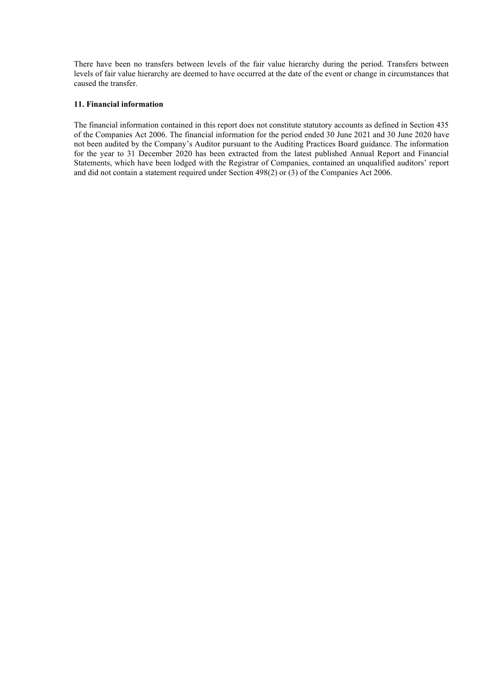There have been no transfers between levels of the fair value hierarchy during the period. Transfers between levels of fair value hierarchy are deemed to have occurred at the date of the event or change in circumstances that caused the transfer.

## **11. Financial information**

The financial information contained in this report does not constitute statutory accounts as defined in Section 435 of the Companies Act 2006. The financial information for the period ended 30 June 2021 and 30 June 2020 have not been audited by the Company's Auditor pursuant to the Auditing Practices Board guidance. The information for the year to 31 December 2020 has been extracted from the latest published Annual Report and Financial Statements, which have been lodged with the Registrar of Companies, contained an unqualified auditors' report and did not contain a statement required under Section 498(2) or (3) of the Companies Act 2006.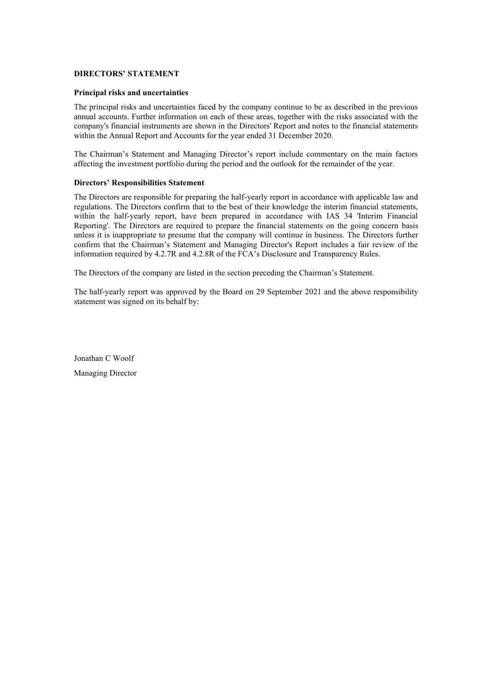### **DIRECTORS' STATEMENT**

### **Principal risks and uncertainties**

The principal risks and uncertainties faced by the company continue to be as described in the previous annual accounts. Further information on each of these areas, together with the risks associated with the company's financial instruments are shown in the Directors' Report and notes to the financial statements within the Annual Report and Accounts for the year ended 31 December 2020.

The Chairman's Statement and Managing Director's report include commentary on the main factors affecting the investment portfolio during the period and the outlook for the remainder of the year.

### **Directors' Responsibilities Statement**

The Directors are responsible for preparing the half-yearly report in accordance with applicable law and regulations. The Directors confirm that to the best of their knowledge the interim financial statements, within the half-yearly report, have been prepared in accordance with IAS 34 'Interim Financial Reporting'. The Directors are required to prepare the financial statements on the going concern basis unless it is inappropriate to presume that the company will continue in business. The Directors further confirm that the Chairman's Statement and Managing Director's Report includes a fair review of the information required by 4.2.7R and 4.2.8R of the FCA's Disclosure and Transparency Rules.

The Directors of the company are listed in the section preceding the Chairman's Statement.

The half-yearly report was approved by the Board on 29 September 2021 and the above responsibility statement was signed on its behalf by:

Jonathan C Woolf Managing Director